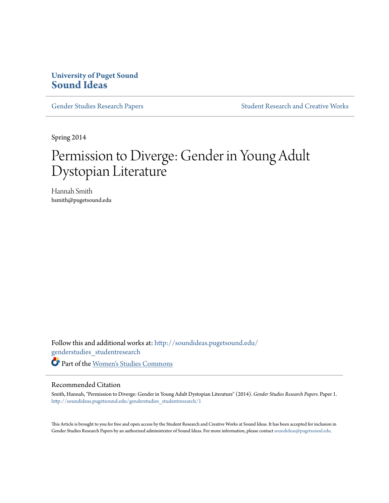# **University of Puget Sound [Sound Ideas](http://soundideas.pugetsound.edu?utm_source=soundideas.pugetsound.edu%2Fgenderstudies_studentresearch%2F1&utm_medium=PDF&utm_campaign=PDFCoverPages)**

[Gender Studies Research Papers](http://soundideas.pugetsound.edu/genderstudies_studentresearch?utm_source=soundideas.pugetsound.edu%2Fgenderstudies_studentresearch%2F1&utm_medium=PDF&utm_campaign=PDFCoverPages) [Student Research and Creative Works](http://soundideas.pugetsound.edu/student_research?utm_source=soundideas.pugetsound.edu%2Fgenderstudies_studentresearch%2F1&utm_medium=PDF&utm_campaign=PDFCoverPages)

Spring 2014

# Permission to Diverge: Gender in Young Adult Dystopian Literature

Hannah Smith hsmith@pugetsound.edu

Follow this and additional works at: [http://soundideas.pugetsound.edu/](http://soundideas.pugetsound.edu/genderstudies_studentresearch?utm_source=soundideas.pugetsound.edu%2Fgenderstudies_studentresearch%2F1&utm_medium=PDF&utm_campaign=PDFCoverPages) [genderstudies\\_studentresearch](http://soundideas.pugetsound.edu/genderstudies_studentresearch?utm_source=soundideas.pugetsound.edu%2Fgenderstudies_studentresearch%2F1&utm_medium=PDF&utm_campaign=PDFCoverPages) Part of the [Women's Studies Commons](http://network.bepress.com/hgg/discipline/561?utm_source=soundideas.pugetsound.edu%2Fgenderstudies_studentresearch%2F1&utm_medium=PDF&utm_campaign=PDFCoverPages)

#### Recommended Citation

Smith, Hannah, "Permission to Diverge: Gender in Young Adult Dystopian Literature" (2014). *Gender Studies Research Papers.* Paper 1. [http://soundideas.pugetsound.edu/genderstudies\\_studentresearch/1](http://soundideas.pugetsound.edu/genderstudies_studentresearch/1?utm_source=soundideas.pugetsound.edu%2Fgenderstudies_studentresearch%2F1&utm_medium=PDF&utm_campaign=PDFCoverPages)

This Article is brought to you for free and open access by the Student Research and Creative Works at Sound Ideas. It has been accepted for inclusion in Gender Studies Research Papers by an authorized administrator of Sound Ideas. For more information, please contact [soundideas@pugetsound.edu](mailto:soundideas@pugetsound.edu).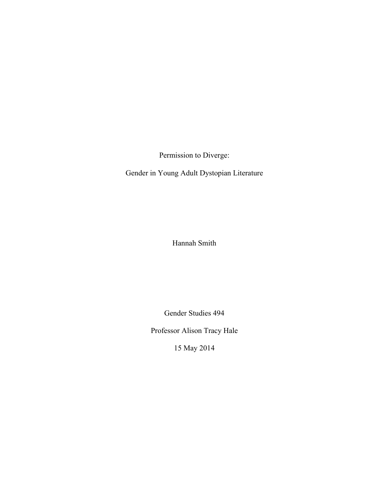Permission to Diverge:

Gender in Young Adult Dystopian Literature

Hannah Smith

Gender Studies 494

Professor Alison Tracy Hale

15 May 2014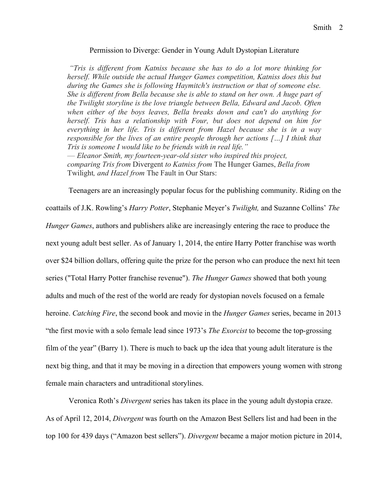#### Permission to Diverge: Gender in Young Adult Dystopian Literature

*"Tris is different from Katniss because she has to do a lot more thinking for herself. While outside the actual Hunger Games competition, Katniss does this but during the Games she is following Haymitch's instruction or that of someone else. She is different from Bella because she is able to stand on her own. A huge part of the Twilight storyline is the love triangle between Bella, Edward and Jacob. Often when either of the boys leaves, Bella breaks down and can't do anything for herself. Tris has a relationship with Four, but does not depend on him for everything in her life. Tris is different from Hazel because she is in a way responsible for the lives of an entire people through her actions […] I think that Tris is someone I would like to be friends with in real life."*

— *Eleanor Smith, my fourteen-year-old sister who inspired this project, comparing Tris from* Divergent *to Katniss from* The Hunger Games, *Bella from*  Twilight*, and Hazel from* The Fault in Our Stars:

Teenagers are an increasingly popular focus for the publishing community. Riding on the

coattails of J.K. Rowling's *Harry Potter*, Stephanie Meyer's *Twilight,* and Suzanne Collins' *The Hunger Games*, authors and publishers alike are increasingly entering the race to produce the next young adult best seller. As of January 1, 2014, the entire Harry Potter franchise was worth over \$24 billion dollars, offering quite the prize for the person who can produce the next hit teen series ("Total Harry Potter franchise revenue"). *The Hunger Games* showed that both young adults and much of the rest of the world are ready for dystopian novels focused on a female heroine. *Catching Fire*, the second book and movie in the *Hunger Games* series, became in 2013 "the first movie with a solo female lead since 1973's *The Exorcist* to become the top-grossing film of the year" (Barry 1). There is much to back up the idea that young adult literature is the next big thing, and that it may be moving in a direction that empowers young women with strong female main characters and untraditional storylines.

Veronica Roth's *Divergent* series has taken its place in the young adult dystopia craze. As of April 12, 2014, *Divergent* was fourth on the Amazon Best Sellers list and had been in the top 100 for 439 days ("Amazon best sellers"). *Divergent* became a major motion picture in 2014,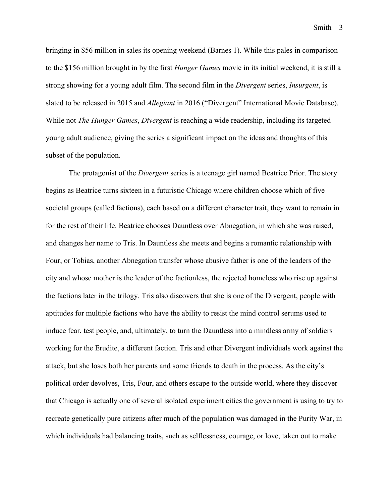bringing in \$56 million in sales its opening weekend (Barnes 1). While this pales in comparison to the \$156 million brought in by the first *Hunger Games* movie in its initial weekend, it is still a strong showing for a young adult film. The second film in the *Divergent* series, *Insurgent*, is slated to be released in 2015 and *Allegiant* in 2016 ("Divergent" International Movie Database). While not *The Hunger Games*, *Divergent* is reaching a wide readership, including its targeted young adult audience, giving the series a significant impact on the ideas and thoughts of this subset of the population.

The protagonist of the *Divergent* series is a teenage girl named Beatrice Prior. The story begins as Beatrice turns sixteen in a futuristic Chicago where children choose which of five societal groups (called factions), each based on a different character trait, they want to remain in for the rest of their life. Beatrice chooses Dauntless over Abnegation, in which she was raised, and changes her name to Tris. In Dauntless she meets and begins a romantic relationship with Four, or Tobias, another Abnegation transfer whose abusive father is one of the leaders of the city and whose mother is the leader of the factionless, the rejected homeless who rise up against the factions later in the trilogy. Tris also discovers that she is one of the Divergent, people with aptitudes for multiple factions who have the ability to resist the mind control serums used to induce fear, test people, and, ultimately, to turn the Dauntless into a mindless army of soldiers working for the Erudite, a different faction. Tris and other Divergent individuals work against the attack, but she loses both her parents and some friends to death in the process. As the city's political order devolves, Tris, Four, and others escape to the outside world, where they discover that Chicago is actually one of several isolated experiment cities the government is using to try to recreate genetically pure citizens after much of the population was damaged in the Purity War, in which individuals had balancing traits, such as selflessness, courage, or love, taken out to make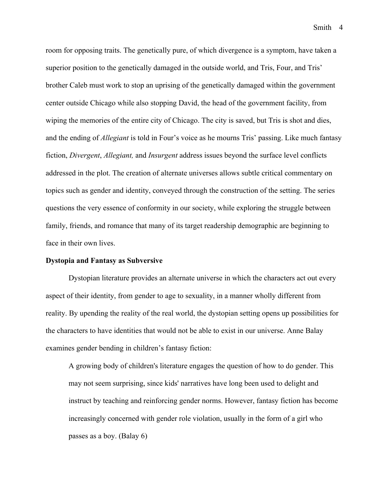room for opposing traits. The genetically pure, of which divergence is a symptom, have taken a superior position to the genetically damaged in the outside world, and Tris, Four, and Tris' brother Caleb must work to stop an uprising of the genetically damaged within the government center outside Chicago while also stopping David, the head of the government facility, from wiping the memories of the entire city of Chicago. The city is saved, but Tris is shot and dies, and the ending of *Allegiant* is told in Four's voice as he mourns Tris' passing. Like much fantasy fiction, *Divergent*, *Allegiant,* and *Insurgent* address issues beyond the surface level conflicts addressed in the plot. The creation of alternate universes allows subtle critical commentary on topics such as gender and identity, conveyed through the construction of the setting. The series questions the very essence of conformity in our society, while exploring the struggle between family, friends, and romance that many of its target readership demographic are beginning to face in their own lives.

#### **Dystopia and Fantasy as Subversive**

Dystopian literature provides an alternate universe in which the characters act out every aspect of their identity, from gender to age to sexuality, in a manner wholly different from reality. By upending the reality of the real world, the dystopian setting opens up possibilities for the characters to have identities that would not be able to exist in our universe. Anne Balay examines gender bending in children's fantasy fiction:

A growing body of children's literature engages the question of how to do gender. This may not seem surprising, since kids' narratives have long been used to delight and instruct by teaching and reinforcing gender norms. However, fantasy fiction has become increasingly concerned with gender role violation, usually in the form of a girl who passes as a boy. (Balay 6)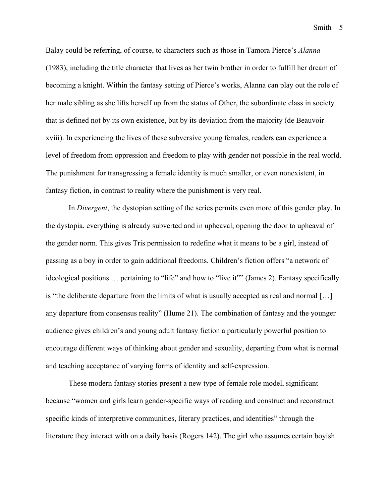Balay could be referring, of course, to characters such as those in Tamora Pierce's *Alanna*  (1983), including the title character that lives as her twin brother in order to fulfill her dream of becoming a knight. Within the fantasy setting of Pierce's works, Alanna can play out the role of her male sibling as she lifts herself up from the status of Other, the subordinate class in society that is defined not by its own existence, but by its deviation from the majority (de Beauvoir xviii). In experiencing the lives of these subversive young females, readers can experience a level of freedom from oppression and freedom to play with gender not possible in the real world. The punishment for transgressing a female identity is much smaller, or even nonexistent, in fantasy fiction, in contrast to reality where the punishment is very real.

In *Divergent*, the dystopian setting of the series permits even more of this gender play. In the dystopia, everything is already subverted and in upheaval, opening the door to upheaval of the gender norm. This gives Tris permission to redefine what it means to be a girl, instead of passing as a boy in order to gain additional freedoms. Children's fiction offers "a network of ideological positions … pertaining to "life" and how to "live it"" (James 2). Fantasy specifically is "the deliberate departure from the limits of what is usually accepted as real and normal […] any departure from consensus reality" (Hume 21). The combination of fantasy and the younger audience gives children's and young adult fantasy fiction a particularly powerful position to encourage different ways of thinking about gender and sexuality, departing from what is normal and teaching acceptance of varying forms of identity and self-expression.

These modern fantasy stories present a new type of female role model, significant because "women and girls learn gender-specific ways of reading and construct and reconstruct specific kinds of interpretive communities, literary practices, and identities" through the literature they interact with on a daily basis (Rogers 142). The girl who assumes certain boyish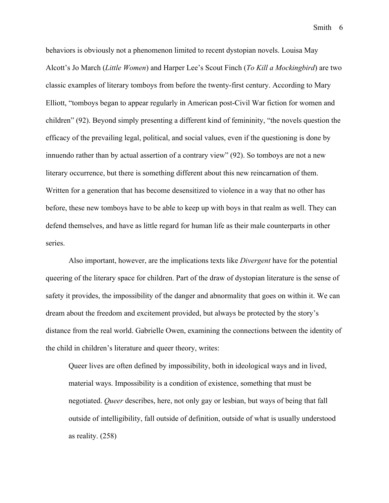behaviors is obviously not a phenomenon limited to recent dystopian novels. Louisa May Alcott's Jo March (*Little Women*) and Harper Lee's Scout Finch (*To Kill a Mockingbird*) are two classic examples of literary tomboys from before the twenty-first century. According to Mary Elliott, "tomboys began to appear regularly in American post-Civil War fiction for women and children" (92). Beyond simply presenting a different kind of femininity, "the novels question the efficacy of the prevailing legal, political, and social values, even if the questioning is done by innuendo rather than by actual assertion of a contrary view" (92). So tomboys are not a new literary occurrence, but there is something different about this new reincarnation of them. Written for a generation that has become desensitized to violence in a way that no other has before, these new tomboys have to be able to keep up with boys in that realm as well. They can defend themselves, and have as little regard for human life as their male counterparts in other series.

Also important, however, are the implications texts like *Divergent* have for the potential queering of the literary space for children. Part of the draw of dystopian literature is the sense of safety it provides, the impossibility of the danger and abnormality that goes on within it. We can dream about the freedom and excitement provided, but always be protected by the story's distance from the real world. Gabrielle Owen, examining the connections between the identity of the child in children's literature and queer theory, writes:

Queer lives are often defined by impossibility, both in ideological ways and in lived, material ways. Impossibility is a condition of existence, something that must be negotiated. *Queer* describes, here, not only gay or lesbian, but ways of being that fall outside of intelligibility, fall outside of definition, outside of what is usually understood as reality. (258)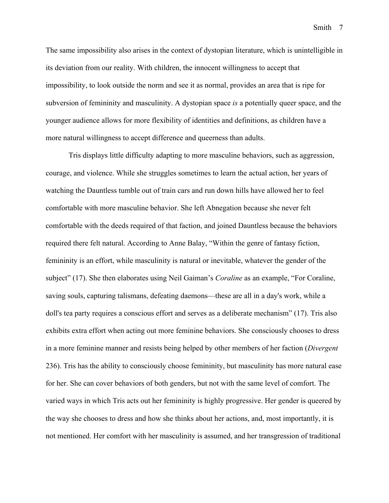The same impossibility also arises in the context of dystopian literature, which is unintelligible in its deviation from our reality. With children, the innocent willingness to accept that impossibility, to look outside the norm and see it as normal, provides an area that is ripe for subversion of femininity and masculinity. A dystopian space *is* a potentially queer space, and the younger audience allows for more flexibility of identities and definitions, as children have a more natural willingness to accept difference and queerness than adults.

Tris displays little difficulty adapting to more masculine behaviors, such as aggression, courage, and violence. While she struggles sometimes to learn the actual action, her years of watching the Dauntless tumble out of train cars and run down hills have allowed her to feel comfortable with more masculine behavior. She left Abnegation because she never felt comfortable with the deeds required of that faction, and joined Dauntless because the behaviors required there felt natural. According to Anne Balay, "Within the genre of fantasy fiction, femininity is an effort, while masculinity is natural or inevitable, whatever the gender of the subject" (17). She then elaborates using Neil Gaiman's *Coraline* as an example, "For Coraline, saving souls, capturing talismans, defeating daemons—these are all in a day's work, while a doll's tea party requires a conscious effort and serves as a deliberate mechanism" (17). Tris also exhibits extra effort when acting out more feminine behaviors. She consciously chooses to dress in a more feminine manner and resists being helped by other members of her faction (*Divergent*  236). Tris has the ability to consciously choose femininity, but masculinity has more natural ease for her. She can cover behaviors of both genders, but not with the same level of comfort. The varied ways in which Tris acts out her femininity is highly progressive. Her gender is queered by the way she chooses to dress and how she thinks about her actions, and, most importantly, it is not mentioned. Her comfort with her masculinity is assumed, and her transgression of traditional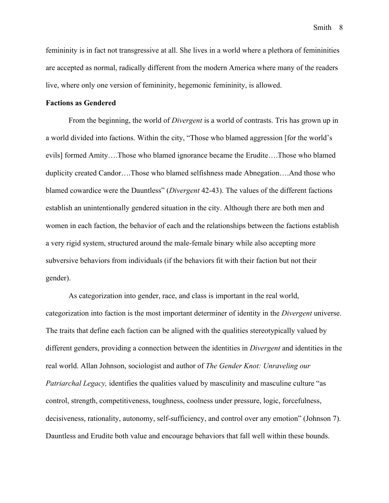femininity is in fact not transgressive at all. She lives in a world where a plethora of femininities are accepted as normal, radically different from the modern America where many of the readers live, where only one version of femininity, hegemonic femininity, is allowed.

# **Factions as Gendered**

From the beginning, the world of *Divergent* is a world of contrasts. Tris has grown up in a world divided into factions. Within the city, "Those who blamed aggression [for the world's evils] formed Amity….Those who blamed ignorance became the Erudite….Those who blamed duplicity created Candor….Those who blamed selfishness made Abnegation….And those who blamed cowardice were the Dauntless" (*Divergent* 42-43). The values of the different factions establish an unintentionally gendered situation in the city. Although there are both men and women in each faction, the behavior of each and the relationships between the factions establish a very rigid system, structured around the male-female binary while also accepting more subversive behaviors from individuals (if the behaviors fit with their faction but not their gender).

As categorization into gender, race, and class is important in the real world, categorization into faction is the most important determiner of identity in the *Divergent* universe. The traits that define each faction can be aligned with the qualities stereotypically valued by different genders, providing a connection between the identities in *Divergent* and identities in the real world. Allan Johnson, sociologist and author of *The Gender Knot: Unraveling our Patriarchal Legacy,* identifies the qualities valued by masculinity and masculine culture "as control, strength, competitiveness, toughness, coolness under pressure, logic, forcefulness, decisiveness, rationality, autonomy, self-sufficiency, and control over any emotion" (Johnson 7). Dauntless and Erudite both value and encourage behaviors that fall well within these bounds.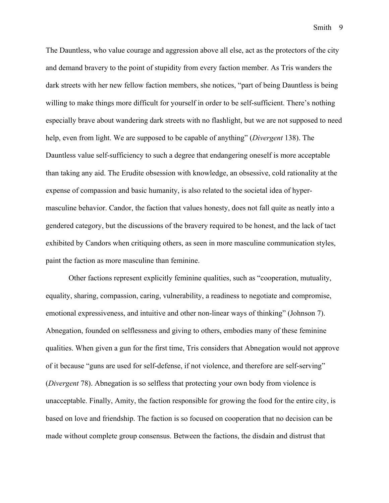The Dauntless, who value courage and aggression above all else, act as the protectors of the city and demand bravery to the point of stupidity from every faction member. As Tris wanders the dark streets with her new fellow faction members, she notices, "part of being Dauntless is being willing to make things more difficult for yourself in order to be self-sufficient. There's nothing especially brave about wandering dark streets with no flashlight, but we are not supposed to need help, even from light. We are supposed to be capable of anything" (*Divergent* 138). The Dauntless value self-sufficiency to such a degree that endangering oneself is more acceptable than taking any aid. The Erudite obsession with knowledge, an obsessive, cold rationality at the expense of compassion and basic humanity, is also related to the societal idea of hypermasculine behavior. Candor, the faction that values honesty, does not fall quite as neatly into a gendered category, but the discussions of the bravery required to be honest, and the lack of tact exhibited by Candors when critiquing others, as seen in more masculine communication styles, paint the faction as more masculine than feminine.

Other factions represent explicitly feminine qualities, such as "cooperation, mutuality, equality, sharing, compassion, caring, vulnerability, a readiness to negotiate and compromise, emotional expressiveness, and intuitive and other non-linear ways of thinking" (Johnson 7). Abnegation, founded on selflessness and giving to others, embodies many of these feminine qualities. When given a gun for the first time, Tris considers that Abnegation would not approve of it because "guns are used for self-defense, if not violence, and therefore are self-serving" (*Divergent* 78). Abnegation is so selfless that protecting your own body from violence is unacceptable. Finally, Amity, the faction responsible for growing the food for the entire city, is based on love and friendship. The faction is so focused on cooperation that no decision can be made without complete group consensus. Between the factions, the disdain and distrust that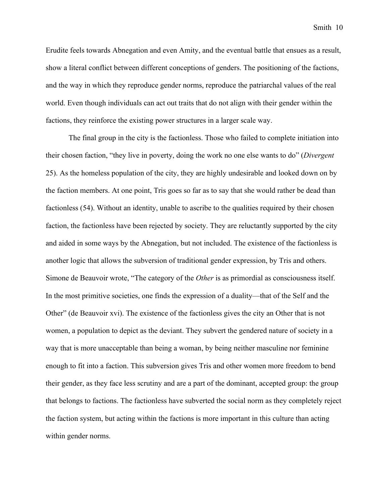Erudite feels towards Abnegation and even Amity, and the eventual battle that ensues as a result, show a literal conflict between different conceptions of genders. The positioning of the factions, and the way in which they reproduce gender norms, reproduce the patriarchal values of the real world. Even though individuals can act out traits that do not align with their gender within the factions, they reinforce the existing power structures in a larger scale way.

The final group in the city is the factionless. Those who failed to complete initiation into their chosen faction, "they live in poverty, doing the work no one else wants to do" (*Divergent* 25). As the homeless population of the city, they are highly undesirable and looked down on by the faction members. At one point, Tris goes so far as to say that she would rather be dead than factionless (54). Without an identity, unable to ascribe to the qualities required by their chosen faction, the factionless have been rejected by society. They are reluctantly supported by the city and aided in some ways by the Abnegation, but not included. The existence of the factionless is another logic that allows the subversion of traditional gender expression, by Tris and others. Simone de Beauvoir wrote, "The category of the *Other* is as primordial as consciousness itself. In the most primitive societies, one finds the expression of a duality—that of the Self and the Other" (de Beauvoir xvi). The existence of the factionless gives the city an Other that is not women, a population to depict as the deviant. They subvert the gendered nature of society in a way that is more unacceptable than being a woman, by being neither masculine nor feminine enough to fit into a faction. This subversion gives Tris and other women more freedom to bend their gender, as they face less scrutiny and are a part of the dominant, accepted group: the group that belongs to factions. The factionless have subverted the social norm as they completely reject the faction system, but acting within the factions is more important in this culture than acting within gender norms.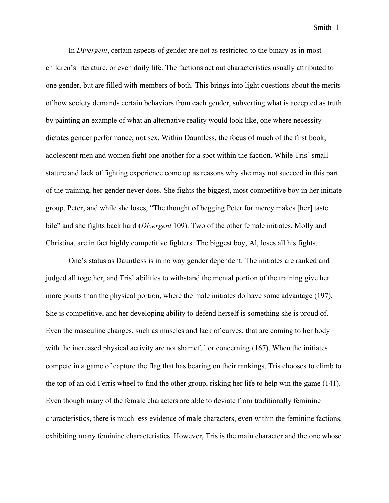In *Divergent*, certain aspects of gender are not as restricted to the binary as in most children's literature, or even daily life. The factions act out characteristics usually attributed to one gender, but are filled with members of both. This brings into light questions about the merits of how society demands certain behaviors from each gender, subverting what is accepted as truth by painting an example of what an alternative reality would look like, one where necessity dictates gender performance, not sex. Within Dauntless, the focus of much of the first book, adolescent men and women fight one another for a spot within the faction. While Tris' small stature and lack of fighting experience come up as reasons why she may not succeed in this part of the training, her gender never does. She fights the biggest, most competitive boy in her initiate group, Peter, and while she loses, "The thought of begging Peter for mercy makes [her] taste bile" and she fights back hard (*Divergent* 109). Two of the other female initiates, Molly and Christina, are in fact highly competitive fighters. The biggest boy, Al, loses all his fights.

One's status as Dauntless is in no way gender dependent. The initiates are ranked and judged all together, and Tris' abilities to withstand the mental portion of the training give her more points than the physical portion, where the male initiates do have some advantage (197). She is competitive, and her developing ability to defend herself is something she is proud of. Even the masculine changes, such as muscles and lack of curves, that are coming to her body with the increased physical activity are not shameful or concerning (167). When the initiates compete in a game of capture the flag that has bearing on their rankings, Tris chooses to climb to the top of an old Ferris wheel to find the other group, risking her life to help win the game (141). Even though many of the female characters are able to deviate from traditionally feminine characteristics, there is much less evidence of male characters, even within the feminine factions, exhibiting many feminine characteristics. However, Tris is the main character and the one whose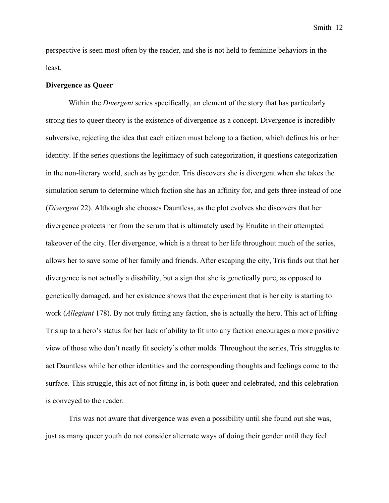perspective is seen most often by the reader, and she is not held to feminine behaviors in the least.

#### **Divergence as Queer**

Within the *Divergent* series specifically, an element of the story that has particularly strong ties to queer theory is the existence of divergence as a concept. Divergence is incredibly subversive, rejecting the idea that each citizen must belong to a faction, which defines his or her identity. If the series questions the legitimacy of such categorization, it questions categorization in the non-literary world, such as by gender. Tris discovers she is divergent when she takes the simulation serum to determine which faction she has an affinity for, and gets three instead of one (*Divergent* 22). Although she chooses Dauntless, as the plot evolves she discovers that her divergence protects her from the serum that is ultimately used by Erudite in their attempted takeover of the city. Her divergence, which is a threat to her life throughout much of the series, allows her to save some of her family and friends. After escaping the city, Tris finds out that her divergence is not actually a disability, but a sign that she is genetically pure, as opposed to genetically damaged, and her existence shows that the experiment that is her city is starting to work (*Allegiant* 178). By not truly fitting any faction, she is actually the hero. This act of lifting Tris up to a hero's status for her lack of ability to fit into any faction encourages a more positive view of those who don't neatly fit society's other molds. Throughout the series, Tris struggles to act Dauntless while her other identities and the corresponding thoughts and feelings come to the surface. This struggle, this act of not fitting in, is both queer and celebrated, and this celebration is conveyed to the reader.

Tris was not aware that divergence was even a possibility until she found out she was, just as many queer youth do not consider alternate ways of doing their gender until they feel

Smith 12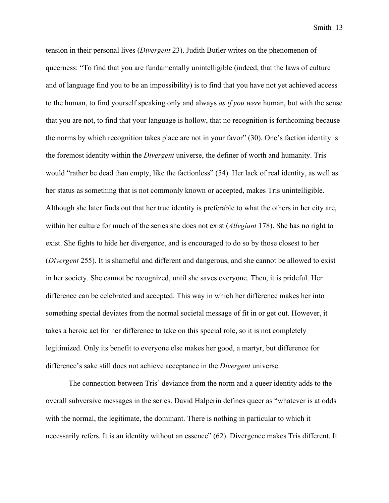tension in their personal lives (*Divergent* 23). Judith Butler writes on the phenomenon of queerness: "To find that you are fundamentally unintelligible (indeed, that the laws of culture and of language find you to be an impossibility) is to find that you have not yet achieved access to the human, to find yourself speaking only and always *as if you were* human, but with the sense that you are not, to find that your language is hollow, that no recognition is forthcoming because the norms by which recognition takes place are not in your favor" (30). One's faction identity is the foremost identity within the *Divergent* universe, the definer of worth and humanity. Tris would "rather be dead than empty, like the factionless" (54). Her lack of real identity, as well as her status as something that is not commonly known or accepted, makes Tris unintelligible. Although she later finds out that her true identity is preferable to what the others in her city are, within her culture for much of the series she does not exist (*Allegiant* 178). She has no right to exist. She fights to hide her divergence, and is encouraged to do so by those closest to her (*Divergent* 255). It is shameful and different and dangerous, and she cannot be allowed to exist in her society. She cannot be recognized, until she saves everyone. Then, it is prideful. Her difference can be celebrated and accepted. This way in which her difference makes her into something special deviates from the normal societal message of fit in or get out. However, it takes a heroic act for her difference to take on this special role, so it is not completely legitimized. Only its benefit to everyone else makes her good, a martyr, but difference for difference's sake still does not achieve acceptance in the *Divergent* universe.

The connection between Tris' deviance from the norm and a queer identity adds to the overall subversive messages in the series. David Halperin defines queer as "whatever is at odds with the normal, the legitimate, the dominant. There is nothing in particular to which it necessarily refers. It is an identity without an essence" (62). Divergence makes Tris different. It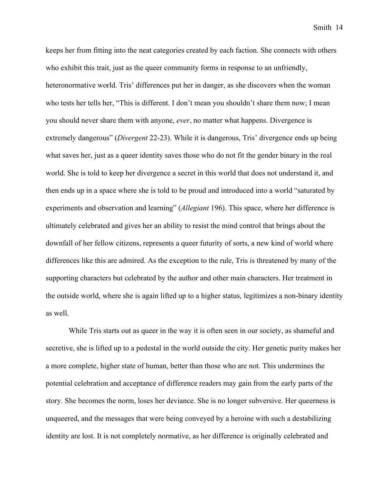keeps her from fitting into the neat categories created by each faction. She connects with others who exhibit this trait, just as the queer community forms in response to an unfriendly, heteronormative world. Tris' differences put her in danger, as she discovers when the woman who tests her tells her, "This is different. I don't mean you shouldn't share them now; I mean you should never share them with anyone, *ever*, no matter what happens. Divergence is extremely dangerous" (*Divergent* 22-23). While it is dangerous, Tris' divergence ends up being what saves her, just as a queer identity saves those who do not fit the gender binary in the real world. She is told to keep her divergence a secret in this world that does not understand it, and then ends up in a space where she is told to be proud and introduced into a world "saturated by experiments and observation and learning" (*Allegiant* 196). This space, where her difference is ultimately celebrated and gives her an ability to resist the mind control that brings about the downfall of her fellow citizens, represents a queer futurity of sorts, a new kind of world where differences like this are admired. As the exception to the rule, Tris is threatened by many of the supporting characters but celebrated by the author and other main characters. Her treatment in the outside world, where she is again lifted up to a higher status, legitimizes a non-binary identity as well.

While Tris starts out as queer in the way it is often seen in our society, as shameful and secretive, she is lifted up to a pedestal in the world outside the city. Her genetic purity makes her a more complete, higher state of human, better than those who are not. This undermines the potential celebration and acceptance of difference readers may gain from the early parts of the story. She becomes the norm, loses her deviance. She is no longer subversive. Her queerness is unqueered, and the messages that were being conveyed by a heroine with such a destabilizing identity are lost. It is not completely normative, as her difference is originally celebrated and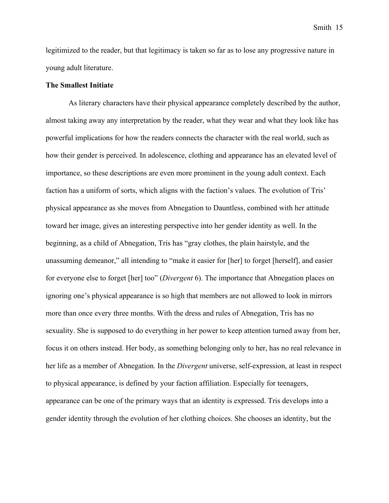legitimized to the reader, but that legitimacy is taken so far as to lose any progressive nature in young adult literature.

## **The Smallest Initiate**

As literary characters have their physical appearance completely described by the author, almost taking away any interpretation by the reader, what they wear and what they look like has powerful implications for how the readers connects the character with the real world, such as how their gender is perceived. In adolescence, clothing and appearance has an elevated level of importance, so these descriptions are even more prominent in the young adult context. Each faction has a uniform of sorts, which aligns with the faction's values. The evolution of Tris' physical appearance as she moves from Abnegation to Dauntless, combined with her attitude toward her image, gives an interesting perspective into her gender identity as well. In the beginning, as a child of Abnegation, Tris has "gray clothes, the plain hairstyle, and the unassuming demeanor," all intending to "make it easier for [her] to forget [herself], and easier for everyone else to forget [her] too" (*Divergent* 6). The importance that Abnegation places on ignoring one's physical appearance is so high that members are not allowed to look in mirrors more than once every three months. With the dress and rules of Abnegation, Tris has no sexuality. She is supposed to do everything in her power to keep attention turned away from her, focus it on others instead. Her body, as something belonging only to her, has no real relevance in her life as a member of Abnegation. In the *Divergent* universe, self-expression, at least in respect to physical appearance, is defined by your faction affiliation. Especially for teenagers, appearance can be one of the primary ways that an identity is expressed. Tris develops into a gender identity through the evolution of her clothing choices. She chooses an identity, but the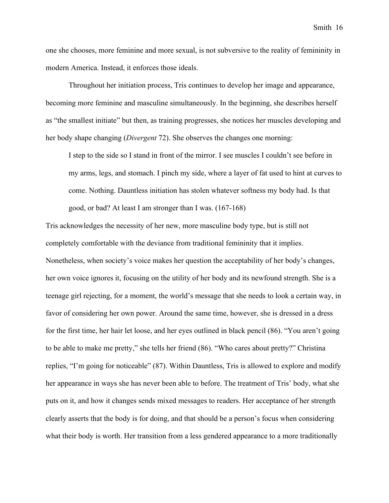one she chooses, more feminine and more sexual, is not subversive to the reality of femininity in modern America. Instead, it enforces those ideals.

Throughout her initiation process, Tris continues to develop her image and appearance, becoming more feminine and masculine simultaneously. In the beginning, she describes herself as "the smallest initiate" but then, as training progresses, she notices her muscles developing and her body shape changing (*Divergent* 72). She observes the changes one morning:

I step to the side so I stand in front of the mirror. I see muscles I couldn't see before in my arms, legs, and stomach. I pinch my side, where a layer of fat used to hint at curves to come. Nothing. Dauntless initiation has stolen whatever softness my body had. Is that good, or bad? At least I am stronger than I was. (167-168)

Tris acknowledges the necessity of her new, more masculine body type, but is still not completely comfortable with the deviance from traditional femininity that it implies. Nonetheless, when society's voice makes her question the acceptability of her body's changes, her own voice ignores it, focusing on the utility of her body and its newfound strength. She is a teenage girl rejecting, for a moment, the world's message that she needs to look a certain way, in favor of considering her own power. Around the same time, however, she is dressed in a dress for the first time, her hair let loose, and her eyes outlined in black pencil (86). "You aren't going to be able to make me pretty," she tells her friend (86). "Who cares about pretty?" Christina replies, "I'm going for noticeable" (87). Within Dauntless, Tris is allowed to explore and modify her appearance in ways she has never been able to before. The treatment of Tris' body, what she puts on it, and how it changes sends mixed messages to readers. Her acceptance of her strength clearly asserts that the body is for doing, and that should be a person's focus when considering what their body is worth. Her transition from a less gendered appearance to a more traditionally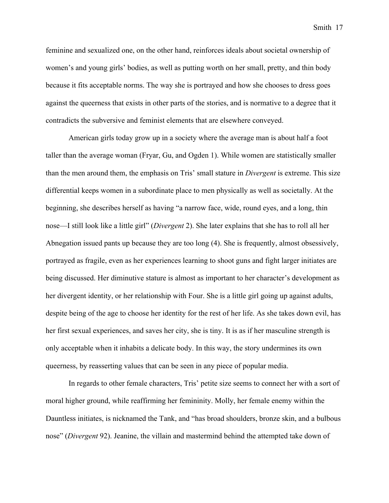feminine and sexualized one, on the other hand, reinforces ideals about societal ownership of women's and young girls' bodies, as well as putting worth on her small, pretty, and thin body because it fits acceptable norms. The way she is portrayed and how she chooses to dress goes against the queerness that exists in other parts of the stories, and is normative to a degree that it contradicts the subversive and feminist elements that are elsewhere conveyed.

American girls today grow up in a society where the average man is about half a foot taller than the average woman (Fryar, Gu, and Ogden 1). While women are statistically smaller than the men around them, the emphasis on Tris' small stature in *Divergent* is extreme. This size differential keeps women in a subordinate place to men physically as well as societally. At the beginning, she describes herself as having "a narrow face, wide, round eyes, and a long, thin nose—I still look like a little girl" (*Divergent* 2). She later explains that she has to roll all her Abnegation issued pants up because they are too long (4). She is frequently, almost obsessively, portrayed as fragile, even as her experiences learning to shoot guns and fight larger initiates are being discussed. Her diminutive stature is almost as important to her character's development as her divergent identity, or her relationship with Four. She is a little girl going up against adults, despite being of the age to choose her identity for the rest of her life. As she takes down evil, has her first sexual experiences, and saves her city, she is tiny. It is as if her masculine strength is only acceptable when it inhabits a delicate body. In this way, the story undermines its own queerness, by reasserting values that can be seen in any piece of popular media.

In regards to other female characters, Tris' petite size seems to connect her with a sort of moral higher ground, while reaffirming her femininity. Molly, her female enemy within the Dauntless initiates, is nicknamed the Tank, and "has broad shoulders, bronze skin, and a bulbous nose" (*Divergent* 92). Jeanine, the villain and mastermind behind the attempted take down of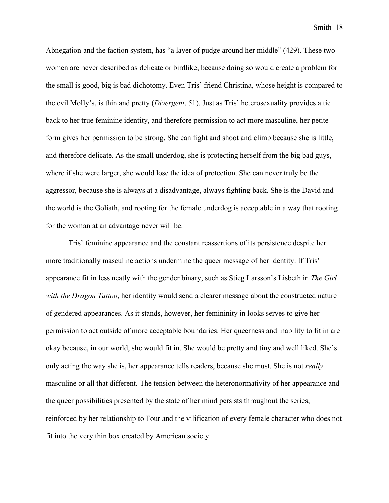Abnegation and the faction system, has "a layer of pudge around her middle" (429). These two women are never described as delicate or birdlike, because doing so would create a problem for the small is good, big is bad dichotomy. Even Tris' friend Christina, whose height is compared to the evil Molly's, is thin and pretty (*Divergent*, 51). Just as Tris' heterosexuality provides a tie back to her true feminine identity, and therefore permission to act more masculine, her petite form gives her permission to be strong. She can fight and shoot and climb because she is little, and therefore delicate. As the small underdog, she is protecting herself from the big bad guys, where if she were larger, she would lose the idea of protection. She can never truly be the aggressor, because she is always at a disadvantage, always fighting back. She is the David and the world is the Goliath, and rooting for the female underdog is acceptable in a way that rooting for the woman at an advantage never will be.

Tris' feminine appearance and the constant reassertions of its persistence despite her more traditionally masculine actions undermine the queer message of her identity. If Tris' appearance fit in less neatly with the gender binary, such as Stieg Larsson's Lisbeth in *The Girl with the Dragon Tattoo*, her identity would send a clearer message about the constructed nature of gendered appearances. As it stands, however, her femininity in looks serves to give her permission to act outside of more acceptable boundaries. Her queerness and inability to fit in are okay because, in our world, she would fit in. She would be pretty and tiny and well liked. She's only acting the way she is, her appearance tells readers, because she must. She is not *really* masculine or all that different. The tension between the heteronormativity of her appearance and the queer possibilities presented by the state of her mind persists throughout the series, reinforced by her relationship to Four and the vilification of every female character who does not fit into the very thin box created by American society.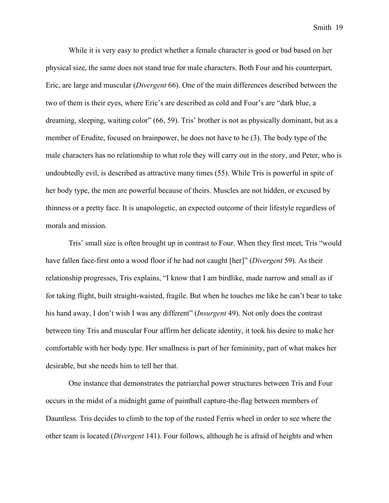While it is very easy to predict whether a female character is good or bad based on her physical size, the same does not stand true for male characters. Both Four and his counterpart, Eric, are large and muscular (*Divergent* 66). One of the main differences described between the two of them is their eyes, where Eric's are described as cold and Four's are "dark blue, a dreaming, sleeping, waiting color" (66, 59). Tris' brother is not as physically dominant, but as a member of Erudite, focused on brainpower, he does not have to be (3). The body type of the male characters has no relationship to what role they will carry out in the story, and Peter, who is undoubtedly evil, is described as attractive many times (55). While Tris is powerful in spite of her body type, the men are powerful because of theirs. Muscles are not hidden, or excused by thinness or a pretty face. It is unapologetic, an expected outcome of their lifestyle regardless of morals and mission.

Tris' small size is often brought up in contrast to Four. When they first meet, Tris "would have fallen face-first onto a wood floor if he had not caught [her]" (*Divergent* 59). As their relationship progresses, Tris explains, "I know that I am birdlike, made narrow and small as if for taking flight, built straight-waisted, fragile. But when he touches me like he can't bear to take his hand away, I don't wish I was any different" (*Insurgent* 49). Not only does the contrast between tiny Tris and muscular Four affirm her delicate identity, it took his desire to make her comfortable with her body type. Her smallness is part of her femininity, part of what makes her desirable, but she needs him to tell her that.

One instance that demonstrates the patriarchal power structures between Tris and Four occurs in the midst of a midnight game of paintball capture-the-flag between members of Dauntless. Tris decides to climb to the top of the rusted Ferris wheel in order to see where the other team is located (*Divergent* 141). Four follows, although he is afraid of heights and when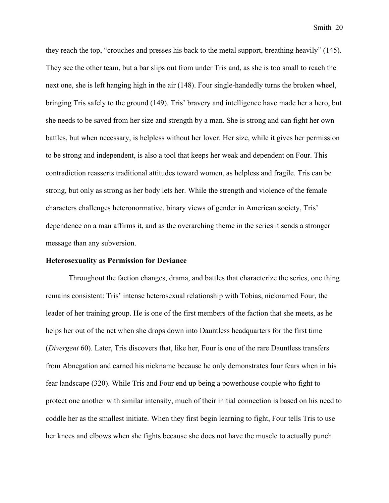they reach the top, "crouches and presses his back to the metal support, breathing heavily" (145). They see the other team, but a bar slips out from under Tris and, as she is too small to reach the next one, she is left hanging high in the air (148). Four single-handedly turns the broken wheel, bringing Tris safely to the ground (149). Tris' bravery and intelligence have made her a hero, but she needs to be saved from her size and strength by a man. She is strong and can fight her own battles, but when necessary, is helpless without her lover. Her size, while it gives her permission to be strong and independent, is also a tool that keeps her weak and dependent on Four. This contradiction reasserts traditional attitudes toward women, as helpless and fragile. Tris can be strong, but only as strong as her body lets her. While the strength and violence of the female characters challenges heteronormative, binary views of gender in American society, Tris' dependence on a man affirms it, and as the overarching theme in the series it sends a stronger message than any subversion.

#### **Heterosexuality as Permission for Deviance**

Throughout the faction changes, drama, and battles that characterize the series, one thing remains consistent: Tris' intense heterosexual relationship with Tobias, nicknamed Four, the leader of her training group. He is one of the first members of the faction that she meets, as he helps her out of the net when she drops down into Dauntless headquarters for the first time (*Divergent* 60). Later, Tris discovers that, like her, Four is one of the rare Dauntless transfers from Abnegation and earned his nickname because he only demonstrates four fears when in his fear landscape (320). While Tris and Four end up being a powerhouse couple who fight to protect one another with similar intensity, much of their initial connection is based on his need to coddle her as the smallest initiate. When they first begin learning to fight, Four tells Tris to use her knees and elbows when she fights because she does not have the muscle to actually punch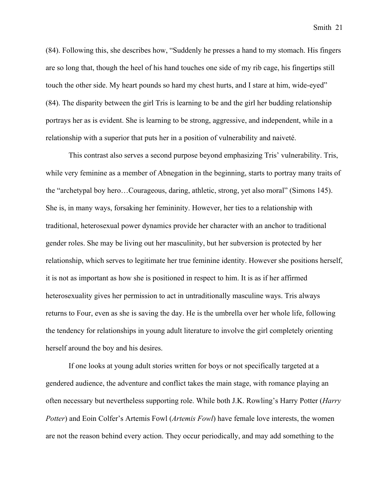(84). Following this, she describes how, "Suddenly he presses a hand to my stomach. His fingers are so long that, though the heel of his hand touches one side of my rib cage, his fingertips still touch the other side. My heart pounds so hard my chest hurts, and I stare at him, wide-eyed" (84). The disparity between the girl Tris is learning to be and the girl her budding relationship portrays her as is evident. She is learning to be strong, aggressive, and independent, while in a relationship with a superior that puts her in a position of vulnerability and naiveté.

This contrast also serves a second purpose beyond emphasizing Tris' vulnerability. Tris, while very feminine as a member of Abnegation in the beginning, starts to portray many traits of the "archetypal boy hero…Courageous, daring, athletic, strong, yet also moral" (Simons 145). She is, in many ways, forsaking her femininity. However, her ties to a relationship with traditional, heterosexual power dynamics provide her character with an anchor to traditional gender roles. She may be living out her masculinity, but her subversion is protected by her relationship, which serves to legitimate her true feminine identity. However she positions herself, it is not as important as how she is positioned in respect to him. It is as if her affirmed heterosexuality gives her permission to act in untraditionally masculine ways. Tris always returns to Four, even as she is saving the day. He is the umbrella over her whole life, following the tendency for relationships in young adult literature to involve the girl completely orienting herself around the boy and his desires.

If one looks at young adult stories written for boys or not specifically targeted at a gendered audience, the adventure and conflict takes the main stage, with romance playing an often necessary but nevertheless supporting role. While both J.K. Rowling's Harry Potter (*Harry Potter*) and Eoin Colfer's Artemis Fowl (*Artemis Fowl*) have female love interests, the women are not the reason behind every action. They occur periodically, and may add something to the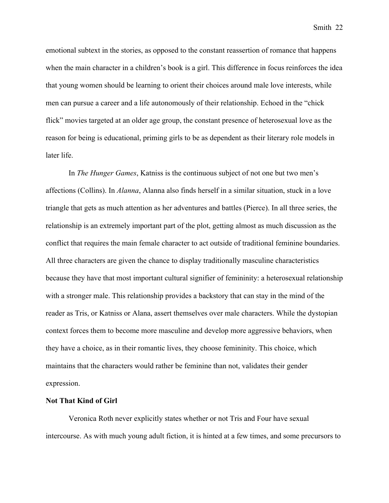emotional subtext in the stories, as opposed to the constant reassertion of romance that happens when the main character in a children's book is a girl. This difference in focus reinforces the idea that young women should be learning to orient their choices around male love interests, while men can pursue a career and a life autonomously of their relationship. Echoed in the "chick flick" movies targeted at an older age group, the constant presence of heterosexual love as the reason for being is educational, priming girls to be as dependent as their literary role models in later life.

In *The Hunger Games*, Katniss is the continuous subject of not one but two men's affections (Collins). In *Alanna*, Alanna also finds herself in a similar situation, stuck in a love triangle that gets as much attention as her adventures and battles (Pierce). In all three series, the relationship is an extremely important part of the plot, getting almost as much discussion as the conflict that requires the main female character to act outside of traditional feminine boundaries. All three characters are given the chance to display traditionally masculine characteristics because they have that most important cultural signifier of femininity: a heterosexual relationship with a stronger male. This relationship provides a backstory that can stay in the mind of the reader as Tris, or Katniss or Alana, assert themselves over male characters. While the dystopian context forces them to become more masculine and develop more aggressive behaviors, when they have a choice, as in their romantic lives, they choose femininity. This choice, which maintains that the characters would rather be feminine than not, validates their gender expression.

## **Not That Kind of Girl**

Veronica Roth never explicitly states whether or not Tris and Four have sexual intercourse. As with much young adult fiction, it is hinted at a few times, and some precursors to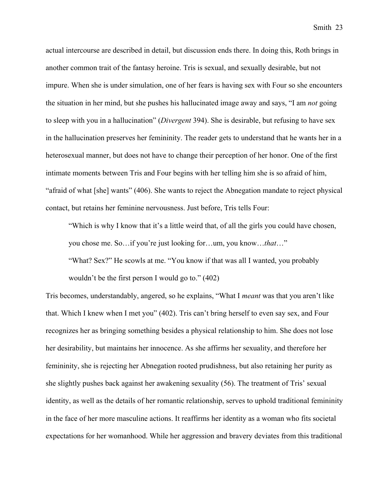actual intercourse are described in detail, but discussion ends there. In doing this, Roth brings in another common trait of the fantasy heroine. Tris is sexual, and sexually desirable, but not impure. When she is under simulation, one of her fears is having sex with Four so she encounters the situation in her mind, but she pushes his hallucinated image away and says, "I am *not* going to sleep with you in a hallucination" (*Divergent* 394). She is desirable, but refusing to have sex in the hallucination preserves her femininity. The reader gets to understand that he wants her in a heterosexual manner, but does not have to change their perception of her honor. One of the first intimate moments between Tris and Four begins with her telling him she is so afraid of him, "afraid of what [she] wants" (406). She wants to reject the Abnegation mandate to reject physical contact, but retains her feminine nervousness. Just before, Tris tells Four:

"Which is why I know that it's a little weird that, of all the girls you could have chosen, you chose me. So…if you're just looking for…um, you know…*that*…"

"What? Sex?" He scowls at me. "You know if that was all I wanted, you probably wouldn't be the first person I would go to." (402)

Tris becomes, understandably, angered, so he explains, "What I *meant* was that you aren't like that. Which I knew when I met you" (402). Tris can't bring herself to even say sex, and Four recognizes her as bringing something besides a physical relationship to him. She does not lose her desirability, but maintains her innocence. As she affirms her sexuality, and therefore her femininity, she is rejecting her Abnegation rooted prudishness, but also retaining her purity as she slightly pushes back against her awakening sexuality (56). The treatment of Tris' sexual identity, as well as the details of her romantic relationship, serves to uphold traditional femininity in the face of her more masculine actions. It reaffirms her identity as a woman who fits societal expectations for her womanhood. While her aggression and bravery deviates from this traditional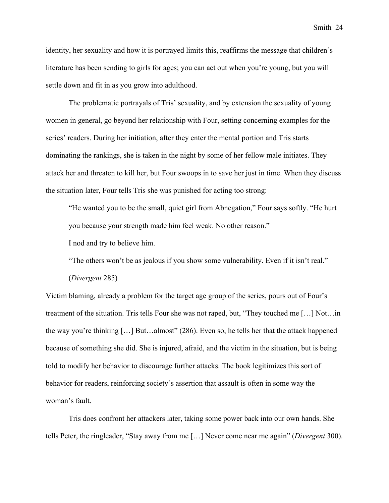identity, her sexuality and how it is portrayed limits this, reaffirms the message that children's literature has been sending to girls for ages; you can act out when you're young, but you will settle down and fit in as you grow into adulthood.

The problematic portrayals of Tris' sexuality, and by extension the sexuality of young women in general, go beyond her relationship with Four, setting concerning examples for the series' readers. During her initiation, after they enter the mental portion and Tris starts dominating the rankings, she is taken in the night by some of her fellow male initiates. They attack her and threaten to kill her, but Four swoops in to save her just in time. When they discuss the situation later, Four tells Tris she was punished for acting too strong:

"He wanted you to be the small, quiet girl from Abnegation," Four says softly. "He hurt you because your strength made him feel weak. No other reason."

I nod and try to believe him.

"The others won't be as jealous if you show some vulnerability. Even if it isn't real."

(*Divergent* 285)

Victim blaming, already a problem for the target age group of the series, pours out of Four's treatment of the situation. Tris tells Four she was not raped, but, "They touched me […] Not…in the way you're thinking […] But…almost" (286). Even so, he tells her that the attack happened because of something she did. She is injured, afraid, and the victim in the situation, but is being told to modify her behavior to discourage further attacks. The book legitimizes this sort of behavior for readers, reinforcing society's assertion that assault is often in some way the woman's fault.

Tris does confront her attackers later, taking some power back into our own hands. She tells Peter, the ringleader, "Stay away from me […] Never come near me again" (*Divergent* 300).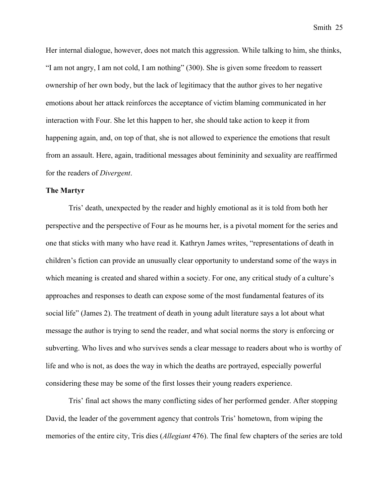Her internal dialogue, however, does not match this aggression. While talking to him, she thinks, "I am not angry, I am not cold, I am nothing" (300). She is given some freedom to reassert ownership of her own body, but the lack of legitimacy that the author gives to her negative emotions about her attack reinforces the acceptance of victim blaming communicated in her interaction with Four. She let this happen to her, she should take action to keep it from happening again, and, on top of that, she is not allowed to experience the emotions that result from an assault. Here, again, traditional messages about femininity and sexuality are reaffirmed for the readers of *Divergent*.

#### **The Martyr**

Tris' death, unexpected by the reader and highly emotional as it is told from both her perspective and the perspective of Four as he mourns her, is a pivotal moment for the series and one that sticks with many who have read it. Kathryn James writes, "representations of death in children's fiction can provide an unusually clear opportunity to understand some of the ways in which meaning is created and shared within a society. For one, any critical study of a culture's approaches and responses to death can expose some of the most fundamental features of its social life" (James 2). The treatment of death in young adult literature says a lot about what message the author is trying to send the reader, and what social norms the story is enforcing or subverting. Who lives and who survives sends a clear message to readers about who is worthy of life and who is not, as does the way in which the deaths are portrayed, especially powerful considering these may be some of the first losses their young readers experience.

Tris' final act shows the many conflicting sides of her performed gender. After stopping David, the leader of the government agency that controls Tris' hometown, from wiping the memories of the entire city, Tris dies (*Allegiant* 476). The final few chapters of the series are told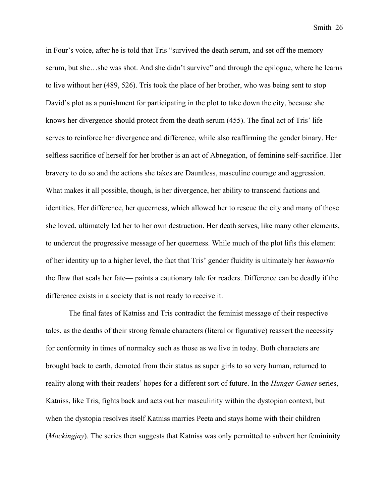in Four's voice, after he is told that Tris "survived the death serum, and set off the memory serum, but she…she was shot. And she didn't survive" and through the epilogue, where he learns to live without her (489, 526). Tris took the place of her brother, who was being sent to stop David's plot as a punishment for participating in the plot to take down the city, because she knows her divergence should protect from the death serum (455). The final act of Tris' life serves to reinforce her divergence and difference, while also reaffirming the gender binary. Her selfless sacrifice of herself for her brother is an act of Abnegation, of feminine self-sacrifice. Her bravery to do so and the actions she takes are Dauntless, masculine courage and aggression. What makes it all possible, though, is her divergence, her ability to transcend factions and identities. Her difference, her queerness, which allowed her to rescue the city and many of those she loved, ultimately led her to her own destruction. Her death serves, like many other elements, to undercut the progressive message of her queerness. While much of the plot lifts this element of her identity up to a higher level, the fact that Tris' gender fluidity is ultimately her *hamartia* the flaw that seals her fate— paints a cautionary tale for readers. Difference can be deadly if the difference exists in a society that is not ready to receive it.

The final fates of Katniss and Tris contradict the feminist message of their respective tales, as the deaths of their strong female characters (literal or figurative) reassert the necessity for conformity in times of normalcy such as those as we live in today. Both characters are brought back to earth, demoted from their status as super girls to so very human, returned to reality along with their readers' hopes for a different sort of future. In the *Hunger Games* series, Katniss, like Tris, fights back and acts out her masculinity within the dystopian context, but when the dystopia resolves itself Katniss marries Peeta and stays home with their children (*Mockingjay*). The series then suggests that Katniss was only permitted to subvert her femininity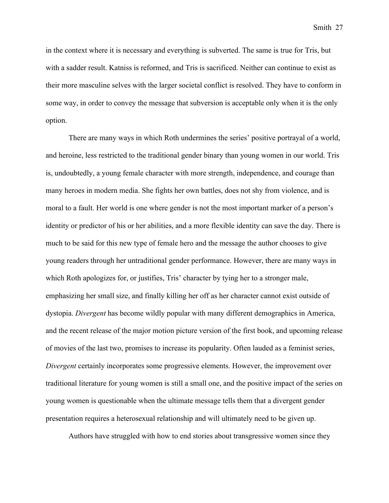in the context where it is necessary and everything is subverted. The same is true for Tris, but with a sadder result. Katniss is reformed, and Tris is sacrificed. Neither can continue to exist as their more masculine selves with the larger societal conflict is resolved. They have to conform in some way, in order to convey the message that subversion is acceptable only when it is the only option.

There are many ways in which Roth undermines the series' positive portrayal of a world, and heroine, less restricted to the traditional gender binary than young women in our world. Tris is, undoubtedly, a young female character with more strength, independence, and courage than many heroes in modern media. She fights her own battles, does not shy from violence, and is moral to a fault. Her world is one where gender is not the most important marker of a person's identity or predictor of his or her abilities, and a more flexible identity can save the day. There is much to be said for this new type of female hero and the message the author chooses to give young readers through her untraditional gender performance. However, there are many ways in which Roth apologizes for, or justifies, Tris' character by tying her to a stronger male, emphasizing her small size, and finally killing her off as her character cannot exist outside of dystopia. *Divergent* has become wildly popular with many different demographics in America, and the recent release of the major motion picture version of the first book, and upcoming release of movies of the last two, promises to increase its popularity. Often lauded as a feminist series, *Divergent* certainly incorporates some progressive elements. However, the improvement over traditional literature for young women is still a small one, and the positive impact of the series on young women is questionable when the ultimate message tells them that a divergent gender presentation requires a heterosexual relationship and will ultimately need to be given up.

Authors have struggled with how to end stories about transgressive women since they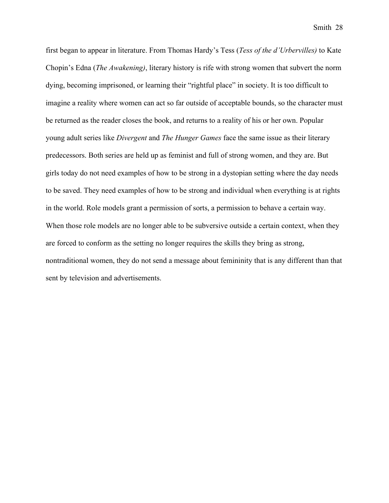first began to appear in literature. From Thomas Hardy's Tess (*Tess of the d'Urbervilles)* to Kate Chopin's Edna (*The Awakening)*, literary history is rife with strong women that subvert the norm dying, becoming imprisoned, or learning their "rightful place" in society. It is too difficult to imagine a reality where women can act so far outside of acceptable bounds, so the character must be returned as the reader closes the book, and returns to a reality of his or her own. Popular young adult series like *Divergent* and *The Hunger Games* face the same issue as their literary predecessors. Both series are held up as feminist and full of strong women, and they are. But girls today do not need examples of how to be strong in a dystopian setting where the day needs to be saved. They need examples of how to be strong and individual when everything is at rights in the world. Role models grant a permission of sorts, a permission to behave a certain way. When those role models are no longer able to be subversive outside a certain context, when they are forced to conform as the setting no longer requires the skills they bring as strong, nontraditional women, they do not send a message about femininity that is any different than that sent by television and advertisements.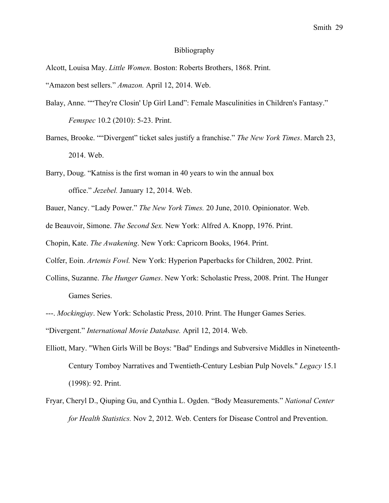#### Bibliography

Alcott, Louisa May. *Little Women*. Boston: Roberts Brothers, 1868. Print.

"Amazon best sellers." *Amazon.* April 12, 2014. Web.

- Balay, Anne. ""They're Closin' Up Girl Land": Female Masculinities in Children's Fantasy." *Femspec* 10.2 (2010): 5-23. Print.
- Barnes, Brooke. ""Divergent" ticket sales justify a franchise." *The New York Times*. March 23, 2014. Web.
- Barry, Doug. "Katniss is the first woman in 40 years to win the annual box office." *Jezebel.* January 12, 2014. Web.
- Bauer, Nancy. "Lady Power." *The New York Times.* 20 June, 2010. Opinionator. Web.
- de Beauvoir, Simone. *The Second Sex.* New York: Alfred A. Knopp, 1976. Print.

Chopin, Kate. *The Awakening*. New York: Capricorn Books, 1964. Print.

Colfer, Eoin. *Artemis Fowl.* New York: Hyperion Paperbacks for Children, 2002. Print.

- Collins, Suzanne. *The Hunger Games*. New York: Scholastic Press, 2008. Print. The Hunger Games Series.
- ---. *Mockingjay*. New York: Scholastic Press, 2010. Print. The Hunger Games Series.

"Divergent." *International Movie Database.* April 12, 2014. Web.

- Elliott, Mary. "When Girls Will be Boys: "Bad" Endings and Subversive Middles in Nineteenth-Century Tomboy Narratives and Twentieth-Century Lesbian Pulp Novels." *Legacy* 15.1 (1998): 92. Print.
- Fryar, Cheryl D., Qiuping Gu, and Cynthia L. Ogden. "Body Measurements." *National Center for Health Statistics.* Nov 2, 2012. Web. Centers for Disease Control and Prevention.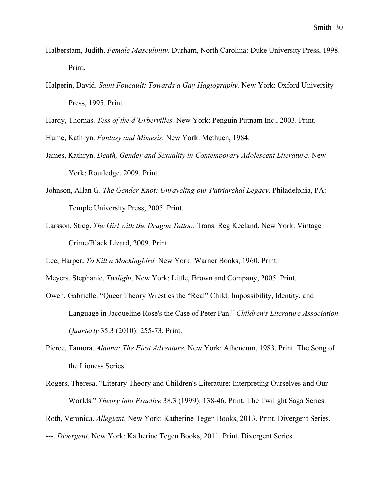- Halberstam, Judith. *Female Masculinity*. Durham, North Carolina: Duke University Press, 1998. Print.
- Halperin, David. *Saint Foucault: Towards a Gay Hagiography.* New York: Oxford University Press, 1995. Print.

Hardy, Thomas. *Tess of the d'Urbervilles.* New York: Penguin Putnam Inc., 2003. Print.

Hume, Kathryn. *Fantasy and Mimesis.* New York: Methuen, 1984.

- James, Kathryn. *Death, Gender and Sexuality in Contemporary Adolescent Literature*. New York: Routledge, 2009. Print.
- Johnson, Allan G. *The Gender Knot: Unraveling our Patriarchal Legacy*. Philadelphia, PA: Temple University Press, 2005. Print.
- Larsson, Stieg. *The Girl with the Dragon Tattoo.* Trans. Reg Keeland. New York: Vintage Crime/Black Lizard, 2009. Print.

Lee, Harper. *To Kill a Mockingbird.* New York: Warner Books, 1960. Print.

Meyers, Stephanie. *Twilight*. New York: Little, Brown and Company, 2005. Print.

- Owen, Gabrielle. "Queer Theory Wrestles the "Real" Child: Impossibility, Identity, and Language in Jacqueline Rose's the Case of Peter Pan." *Children's Literature Association Quarterly* 35.3 (2010): 255-73. Print.
- Pierce, Tamora. *Alanna: The First Adventure*. New York: Atheneum, 1983. Print. The Song of the Lioness Series.
- Rogers, Theresa. "Literary Theory and Children's Literature: Interpreting Ourselves and Our Worlds." *Theory into Practice* 38.3 (1999): 138-46. Print. The Twilight Saga Series.

Roth, Veronica. *Allegiant*. New York: Katherine Tegen Books, 2013. Print. Divergent Series.

---. *Divergent*. New York: Katherine Tegen Books, 2011. Print. Divergent Series.